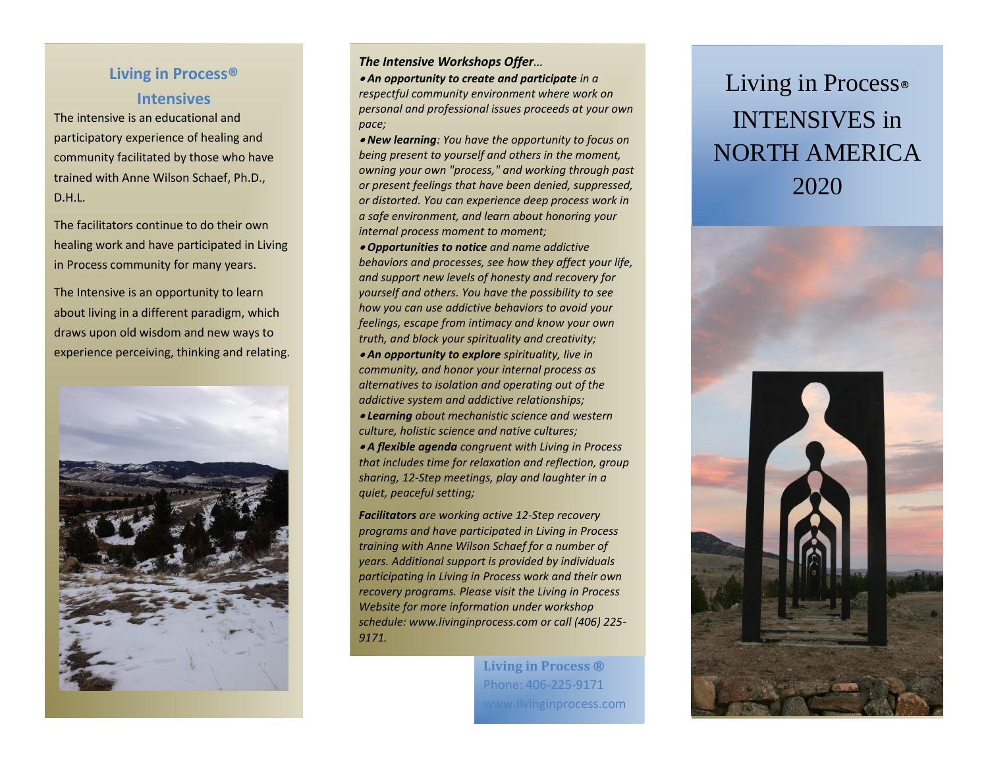## **Living in Process® Intensives**

The intensive is an educational and participatory experience of healing and community facilitated by those who have trained with Anne Wilson Schaef, Ph.D., D.H.L.

The facilitators continue to do their own healing work and have participated in Living in Process community for many years.

The Intensive is an opportunity to learn about living in a different paradigm, which draws upon old wisdom and new ways to experience perceiving, thinking and relating.



## *The Intensive Workshops Offer…*

• *An opportunity to create and participate in a respectful community environment where work on personal and professional issues proceeds at your own pace;* 

• *New learning: You have the opportunity to focus on being present to yourself and others in the moment, owning your own "process," and working through past or present feelings that have been denied, suppressed, or distorted. You can experience deep process work in a safe environment, and learn about honoring your internal process moment to moment;* 

• *Opportunities to notice and name addictive behaviors and processes, see how they affect your life, and support new levels of honesty and recovery for yourself and others. You have the possibility to see how you can use addictive behaviors to avoid your feelings, escape from intimacy and know your own truth, and block your spirituality and creativity;*  • *An opportunity to explore spirituality, live in community, and honor your internal process as alternatives to isolation and operating out of the addictive system and addictive relationships;*  • *Learning about mechanistic science and western culture, holistic science and native cultures;*  • *A flexible agenda congruent with Living in Process that includes time for relaxation and reflection, group* 

*sharing, 12-Step meetings, play and laughter in a quiet, peaceful setting;* 

*Facilitators are working active 12-Step recovery programs and have participated in Living in Process training with Anne Wilson Schaef for a number of years. Additional support is provided by individuals participating in Living in Process work and their own recovery programs. Please visit the Living in Process Website for more information under workshop schedule: www.livinginprocess.com or call (406) 225- 9171.*

> **Living in Process ®** Phone: 406-225-9171 www.livinginprocess.com

## Living in Process® INTENSIVES in NORTH AMERICA 2020